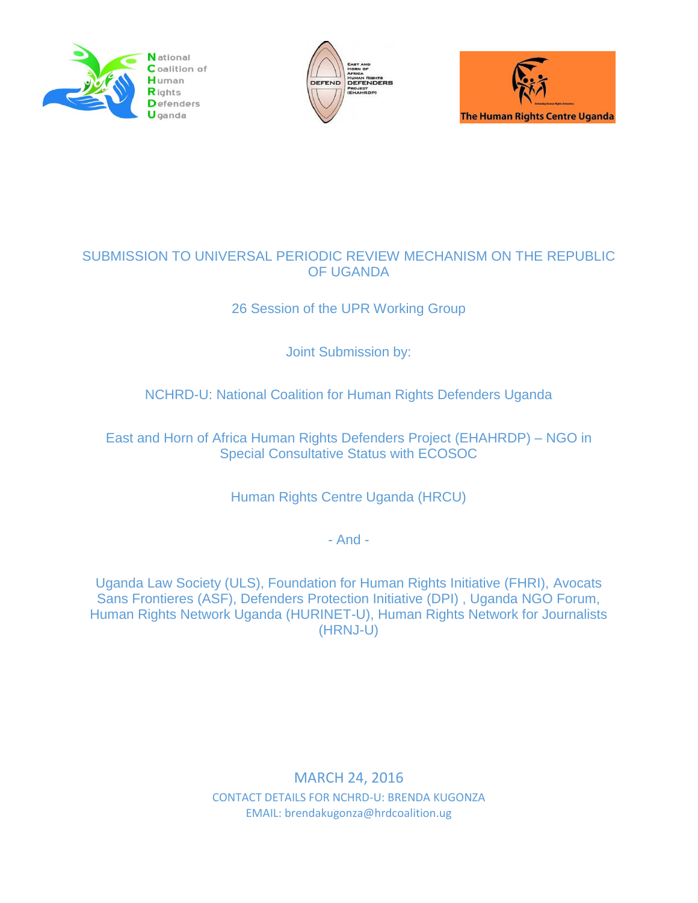





### SUBMISSION TO UNIVERSAL PERIODIC REVIEW MECHANISM ON THE REPUBLIC OF UGANDA

## 26 Session of the UPR Working Group

Joint Submission by:

## NCHRD-U: National Coalition for Human Rights Defenders Uganda

East and Horn of Africa Human Rights Defenders Project (EHAHRDP) – NGO in Special Consultative Status with ECOSOC

Human Rights Centre Uganda (HRCU)

- And -

Uganda Law Society (ULS), Foundation for Human Rights Initiative (FHRI), Avocats Sans Frontieres (ASF), Defenders Protection Initiative (DPI) , Uganda NGO Forum, Human Rights Network Uganda (HURINET-U), Human Rights Network for Journalists (HRNJ-U)

> MARCH 24, 2016 CONTACT DETAILS FOR NCHRD-U: BRENDA KUGONZA EMAIL: brendakugonza@hrdcoalition.ug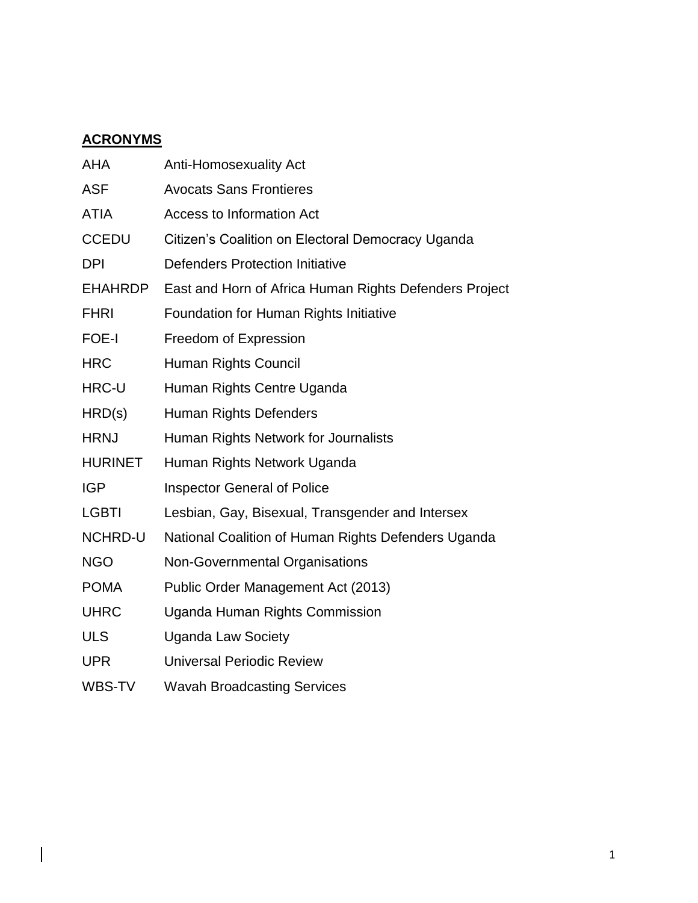### **ACRONYMS**

 $\overline{\phantom{a}}$ 

| <b>AHA</b>     | <b>Anti-Homosexuality Act</b>                          |
|----------------|--------------------------------------------------------|
| <b>ASF</b>     | <b>Avocats Sans Frontieres</b>                         |
| <b>ATIA</b>    | <b>Access to Information Act</b>                       |
| <b>CCEDU</b>   | Citizen's Coalition on Electoral Democracy Uganda      |
| <b>DPI</b>     | <b>Defenders Protection Initiative</b>                 |
| <b>EHAHRDP</b> | East and Horn of Africa Human Rights Defenders Project |
| <b>FHRI</b>    | Foundation for Human Rights Initiative                 |
| FOE-I          | Freedom of Expression                                  |
| <b>HRC</b>     | Human Rights Council                                   |
| HRC-U          | Human Rights Centre Uganda                             |
| HRD(s)         | Human Rights Defenders                                 |
| <b>HRNJ</b>    | Human Rights Network for Journalists                   |
| <b>HURINET</b> | Human Rights Network Uganda                            |
| <b>IGP</b>     | <b>Inspector General of Police</b>                     |
| <b>LGBTI</b>   | Lesbian, Gay, Bisexual, Transgender and Intersex       |
| NCHRD-U        | National Coalition of Human Rights Defenders Uganda    |
| <b>NGO</b>     | Non-Governmental Organisations                         |
| <b>POMA</b>    | Public Order Management Act (2013)                     |
| <b>UHRC</b>    | Uganda Human Rights Commission                         |
| <b>ULS</b>     | <b>Uganda Law Society</b>                              |
| <b>UPR</b>     | <b>Universal Periodic Review</b>                       |
| <b>WBS-TV</b>  | <b>Wavah Broadcasting Services</b>                     |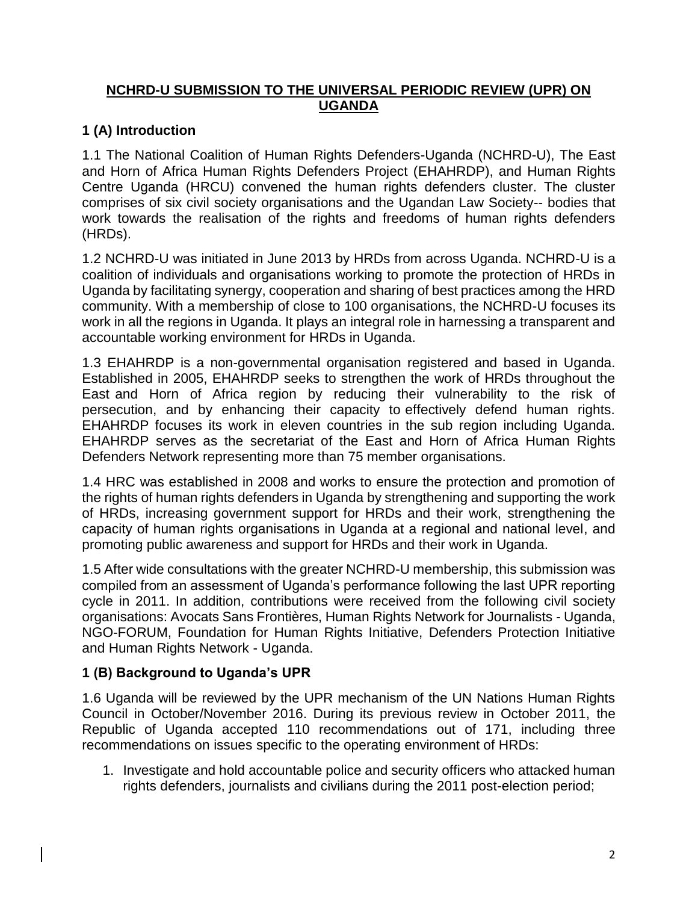#### **NCHRD-U SUBMISSION TO THE UNIVERSAL PERIODIC REVIEW (UPR) ON UGANDA**

### **1 (A) Introduction**

1.1 The National Coalition of Human Rights Defenders-Uganda (NCHRD-U), The East and Horn of Africa Human Rights Defenders Project (EHAHRDP), and Human Rights Centre Uganda (HRCU) convened the human rights defenders cluster. The cluster comprises of six civil society organisations and the Ugandan Law Society-- bodies that work towards the realisation of the rights and freedoms of human rights defenders (HRDs).

1.2 NCHRD-U was initiated in June 2013 by HRDs from across Uganda. NCHRD-U is a coalition of individuals and organisations working to promote the protection of HRDs in Uganda by facilitating synergy, cooperation and sharing of best practices among the HRD community. With a membership of close to 100 organisations, the NCHRD-U focuses its work in all the regions in Uganda. It plays an integral role in harnessing a transparent and accountable working environment for HRDs in Uganda.

1.3 EHAHRDP is a non-governmental organisation registered and based in Uganda. Established in 2005, EHAHRDP seeks to strengthen the work of HRDs throughout the East and Horn of Africa region by reducing their vulnerability to the risk of persecution, and by enhancing their capacity to effectively defend human rights. EHAHRDP focuses its work in eleven countries in the sub region including Uganda. EHAHRDP serves as the secretariat of the East and Horn of Africa Human Rights Defenders Network representing more than 75 member organisations.

1.4 HRC was established in 2008 and works to ensure the protection and promotion of the rights of human rights defenders in Uganda by strengthening and supporting the work of HRDs, increasing government support for HRDs and their work, strengthening the capacity of human rights organisations in Uganda at a regional and national level, and promoting public awareness and support for HRDs and their work in Uganda.

1.5 After wide consultations with the greater NCHRD-U membership, this submission was compiled from an assessment of Uganda's performance following the last UPR reporting cycle in 2011. In addition, contributions were received from the following civil society organisations: Avocats Sans Frontières, Human Rights Network for Journalists - Uganda, NGO-FORUM, Foundation for Human Rights Initiative, Defenders Protection Initiative and Human Rights Network - Uganda.

### **1 (B) Background to Uganda's UPR**

1.6 Uganda will be reviewed by the UPR mechanism of the UN Nations Human Rights Council in October/November 2016. During its previous review in October 2011, the Republic of Uganda accepted 110 recommendations out of 171, including three recommendations on issues specific to the operating environment of HRDs:

1. Investigate and hold accountable police and security officers who attacked human rights defenders, journalists and civilians during the 2011 post-election period;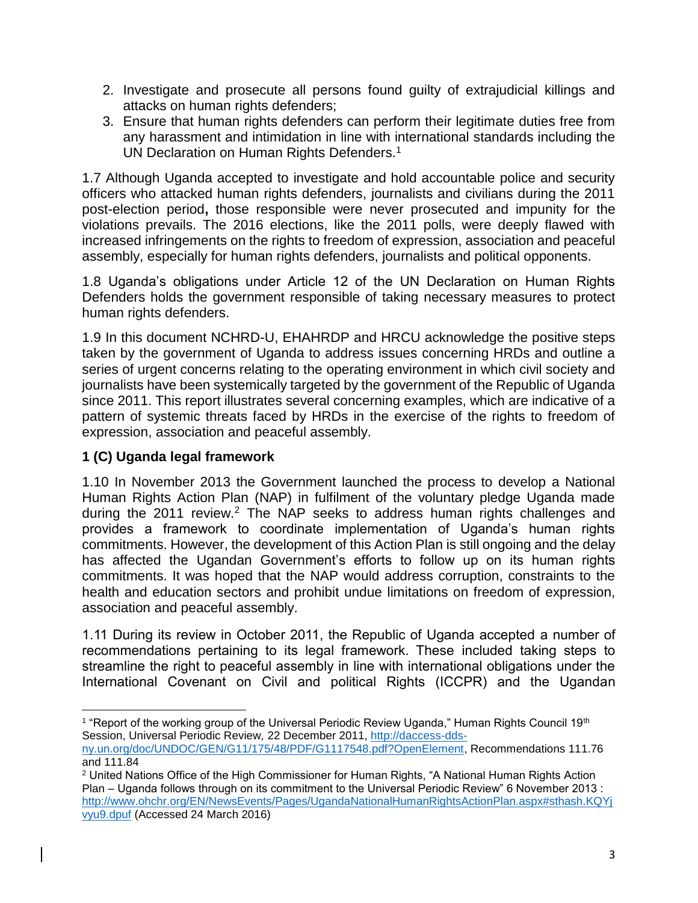- 2. Investigate and prosecute all persons found guilty of extrajudicial killings and attacks on human rights defenders;
- 3. Ensure that human rights defenders can perform their legitimate duties free from any harassment and intimidation in line with international standards including the UN Declaration on Human Rights Defenders.<sup>1</sup>

1.7 Although Uganda accepted to investigate and hold accountable police and security officers who attacked human rights defenders, journalists and civilians during the 2011 post-election period**,** those responsible were never prosecuted and impunity for the violations prevails. The 2016 elections, like the 2011 polls, were deeply flawed with increased infringements on the rights to freedom of expression, association and peaceful assembly, especially for human rights defenders, journalists and political opponents.

1.8 Uganda's obligations under Article 12 of the UN Declaration on Human Rights Defenders holds the government responsible of taking necessary measures to protect human rights defenders.

1.9 In this document NCHRD-U, EHAHRDP and HRCU acknowledge the positive steps taken by the government of Uganda to address issues concerning HRDs and outline a series of urgent concerns relating to the operating environment in which civil society and journalists have been systemically targeted by the government of the Republic of Uganda since 2011. This report illustrates several concerning examples, which are indicative of a pattern of systemic threats faced by HRDs in the exercise of the rights to freedom of expression, association and peaceful assembly.

### **1 (C) Uganda legal framework**

1.10 In November 2013 the Government launched the process to develop a National Human Rights Action Plan (NAP) in fulfilment of the voluntary pledge Uganda made during the 2011 review.<sup>2</sup> The NAP seeks to address human rights challenges and provides a framework to coordinate implementation of Uganda's human rights commitments. However, the development of this Action Plan is still ongoing and the delay has affected the Ugandan Government's efforts to follow up on its human rights commitments. It was hoped that the NAP would address corruption, constraints to the health and education sectors and prohibit undue limitations on freedom of expression, association and peaceful assembly.

1.11 During its review in October 2011, the Republic of Uganda accepted a number of recommendations pertaining to its legal framework. These included taking steps to streamline the right to peaceful assembly in line with international obligations under the International Covenant on Civil and political Rights (ICCPR) and the Ugandan

 $\overline{a}$ <sup>1</sup> "Report of the working group of the Universal Periodic Review Uganda," Human Rights Council 19th Session, Universal Periodic Review*,* 22 December 2011, [http://daccess-dds](http://daccess-dds-ny.un.org/doc/UNDOC/GEN/G11/175/48/PDF/G1117548.pdf?OpenElement)[ny.un.org/doc/UNDOC/GEN/G11/175/48/PDF/G1117548.pdf?OpenElement,](http://daccess-dds-ny.un.org/doc/UNDOC/GEN/G11/175/48/PDF/G1117548.pdf?OpenElement) Recommendations 111.76 and 111.84

<sup>2</sup> United Nations Office of the High Commissioner for Human Rights, "A National Human Rights Action Plan – Uganda follows through on its commitment to the Universal Periodic Review" 6 November 2013 : [http://www.ohchr.org/EN/NewsEvents/Pages/UgandaNationalHumanRightsActionPlan.aspx#sthash.KQYj](http://www.ohchr.org/EN/NewsEvents/Pages/UgandaNationalHumanRightsActionPlan.aspx#sthash.KQYjvyu9.dpuf) [vyu9.dpuf](http://www.ohchr.org/EN/NewsEvents/Pages/UgandaNationalHumanRightsActionPlan.aspx#sthash.KQYjvyu9.dpuf) (Accessed 24 March 2016)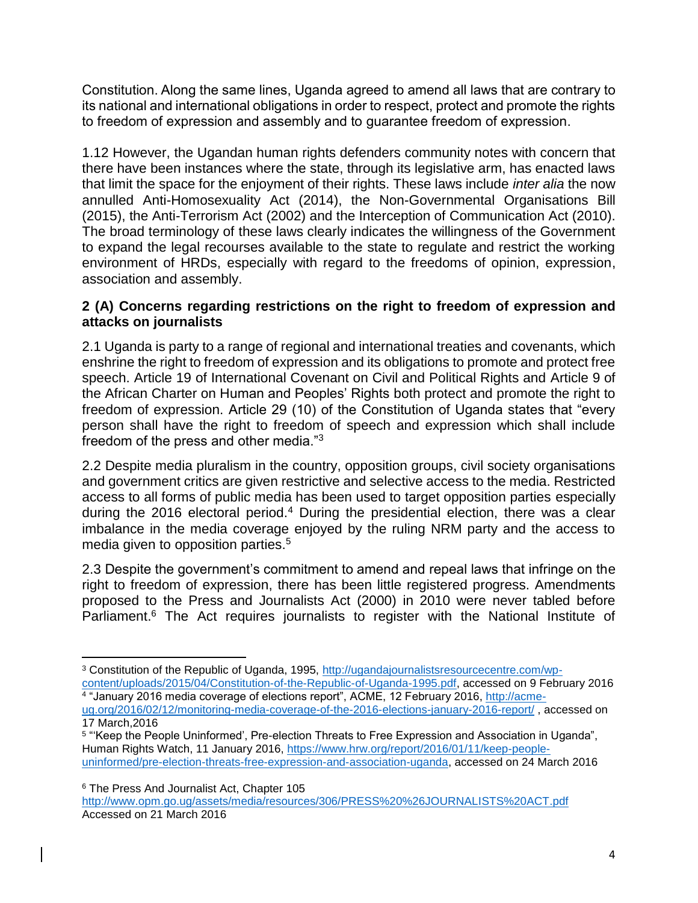Constitution. Along the same lines, Uganda agreed to amend all laws that are contrary to its national and international obligations in order to respect, protect and promote the rights to freedom of expression and assembly and to guarantee freedom of expression.

1.12 However, the Ugandan human rights defenders community notes with concern that there have been instances where the state, through its legislative arm, has enacted laws that limit the space for the enjoyment of their rights. These laws include *inter alia* the now annulled Anti-Homosexuality Act (2014), the Non-Governmental Organisations Bill (2015), the Anti-Terrorism Act (2002) and the Interception of Communication Act (2010). The broad terminology of these laws clearly indicates the willingness of the Government to expand the legal recourses available to the state to regulate and restrict the working environment of HRDs, especially with regard to the freedoms of opinion, expression, association and assembly.

#### **2 (A) Concerns regarding restrictions on the right to freedom of expression and attacks on journalists**

2.1 Uganda is party to a range of regional and international treaties and covenants, which enshrine the right to freedom of expression and its obligations to promote and protect free speech. Article 19 of International Covenant on Civil and Political Rights and Article 9 of the African Charter on Human and Peoples' Rights both protect and promote the right to freedom of expression. Article 29 (10) of the Constitution of Uganda states that "every person shall have the right to freedom of speech and expression which shall include freedom of the press and other media."<sup>3</sup>

2.2 Despite media pluralism in the country, opposition groups, civil society organisations and government critics are given restrictive and selective access to the media. Restricted access to all forms of public media has been used to target opposition parties especially during the 2016 electoral period.<sup>4</sup> During the presidential election, there was a clear imbalance in the media coverage enjoyed by the ruling NRM party and the access to media given to opposition parties.<sup>5</sup>

2.3 Despite the government's commitment to amend and repeal laws that infringe on the right to freedom of expression, there has been little registered progress. Amendments proposed to the Press and Journalists Act (2000) in 2010 were never tabled before Parliament.<sup>6</sup> The Act requires journalists to register with the National Institute of

 $\overline{a}$ 

<sup>6</sup> The Press And Journalist Act, Chapter 105 <http://www.opm.go.ug/assets/media/resources/306/PRESS%20%26JOURNALISTS%20ACT.pdf> Accessed on 21 March 2016

<sup>3</sup> Constitution of the Republic of Uganda, 1995, [http://ugandajournalistsresourcecentre.com/wp](http://ugandajournalistsresourcecentre.com/wp-content/uploads/2015/04/Constitution-of-the-Republic-of-Uganda-1995.pdf)[content/uploads/2015/04/Constitution-of-the-Republic-of-Uganda-1995.pdf,](http://ugandajournalistsresourcecentre.com/wp-content/uploads/2015/04/Constitution-of-the-Republic-of-Uganda-1995.pdf) accessed on 9 February 2016 <sup>4</sup> "January 2016 media coverage of elections report", ACME, 12 February 2016, <u>http://acme-</u> [ug.org/2016/02/12/monitoring-media-coverage-of-the-2016-elections-january-2016-report/](http://acme-ug.org/2016/02/12/monitoring-media-coverage-of-the-2016-elections-january-2016-report/) , accessed on

<sup>17</sup> March,2016

<sup>5</sup> "'Keep the People Uninformed', Pre-election Threats to Free Expression and Association in Uganda", Human Rights Watch, 11 January 2016, [https://www.hrw.org/report/2016/01/11/keep-people](https://www.hrw.org/report/2016/01/11/keep-people-uninformed/pre-election-threats-free-expression-and-association-uganda)[uninformed/pre-election-threats-free-expression-and-association-uganda,](https://www.hrw.org/report/2016/01/11/keep-people-uninformed/pre-election-threats-free-expression-and-association-uganda) accessed on 24 March 2016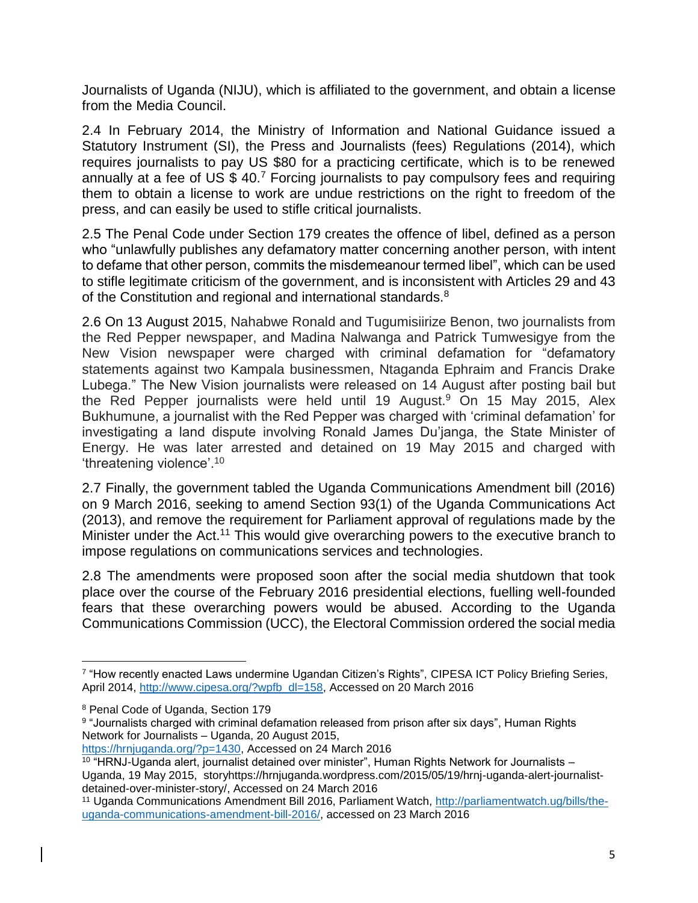Journalists of Uganda (NIJU), which is affiliated to the government, and obtain a license from the Media Council.

2.4 In February 2014, the Ministry of Information and National Guidance issued a Statutory Instrument (SI), the Press and Journalists (fees) Regulations (2014), which requires journalists to pay US \$80 for a practicing certificate, which is to be renewed annually at a fee of US \$ 40.<sup>7</sup> Forcing journalists to pay compulsory fees and requiring them to obtain a license to work are undue restrictions on the right to freedom of the press, and can easily be used to stifle critical journalists.

2.5 The Penal Code under Section 179 creates the offence of libel, defined as a person who "unlawfully publishes any defamatory matter concerning another person, with intent to defame that other person, commits the misdemeanour termed libel", which can be used to stifle legitimate criticism of the government, and is inconsistent with Articles 29 and 43 of the Constitution and regional and international standards.<sup>8</sup>

2.6 On 13 August 2015, Nahabwe Ronald and Tugumisiirize Benon, two journalists from the Red Pepper newspaper, and Madina Nalwanga and Patrick Tumwesigye from the New Vision newspaper were charged with criminal defamation for "defamatory statements against two Kampala businessmen, Ntaganda Ephraim and Francis Drake Lubega." The New Vision journalists were released on 14 August after posting bail but the Red Pepper journalists were held until 19 August. <sup>9</sup> On 15 May 2015, Alex Bukhumune, a journalist with the Red Pepper was charged with 'criminal defamation' for investigating a land dispute involving Ronald James Du'janga, the State Minister of Energy. He was later arrested and detained on 19 May 2015 and charged with 'threatening violence'.<sup>10</sup>

2.7 Finally, the government tabled the Uganda Communications Amendment bill (2016) on 9 March 2016, seeking to amend Section 93(1) of the Uganda Communications Act (2013), and remove the requirement for Parliament approval of regulations made by the Minister under the Act.<sup>11</sup> This would give overarching powers to the executive branch to impose regulations on communications services and technologies.

2.8 The amendments were proposed soon after the social media shutdown that took place over the course of the February 2016 presidential elections, fuelling well-founded fears that these overarching powers would be abused. According to the Uganda Communications Commission (UCC), the Electoral Commission ordered the social media

 $\overline{\phantom{a}}$ 7 "How recently enacted Laws undermine Ugandan Citizen's Rights", CIPESA ICT Policy Briefing Series, April 2014, [http://www.cipesa.org/?wpfb\\_dl=158,](http://www.cipesa.org/?wpfb_dl=158) Accessed on 20 March 2016

<sup>8</sup> Penal Code of Uganda, Section 179

<sup>9</sup> "Journalists charged with criminal defamation released from prison after six days", Human Rights Network for Journalists – Uganda, 20 August 2015,

[https://hrnjuganda.org/?p=1430,](https://hrnjuganda.org/?p=1430) Accessed on 24 March 2016

<sup>10</sup> "HRNJ-Uganda alert, journalist detained over minister", Human Rights Network for Journalists – Uganda, 19 May 2015, storyhttps://hrnjuganda.wordpress.com/2015/05/19/hrnj-uganda-alert-journalistdetained-over-minister-story/, Accessed on 24 March 2016

<sup>11</sup> Uganda Communications Amendment Bill 2016, Parliament Watch, [http://parliamentwatch.ug/bills/the](http://parliamentwatch.ug/bills/the-uganda-communications-amendment-bill-2016/)[uganda-communications-amendment-bill-2016/,](http://parliamentwatch.ug/bills/the-uganda-communications-amendment-bill-2016/) accessed on 23 March 2016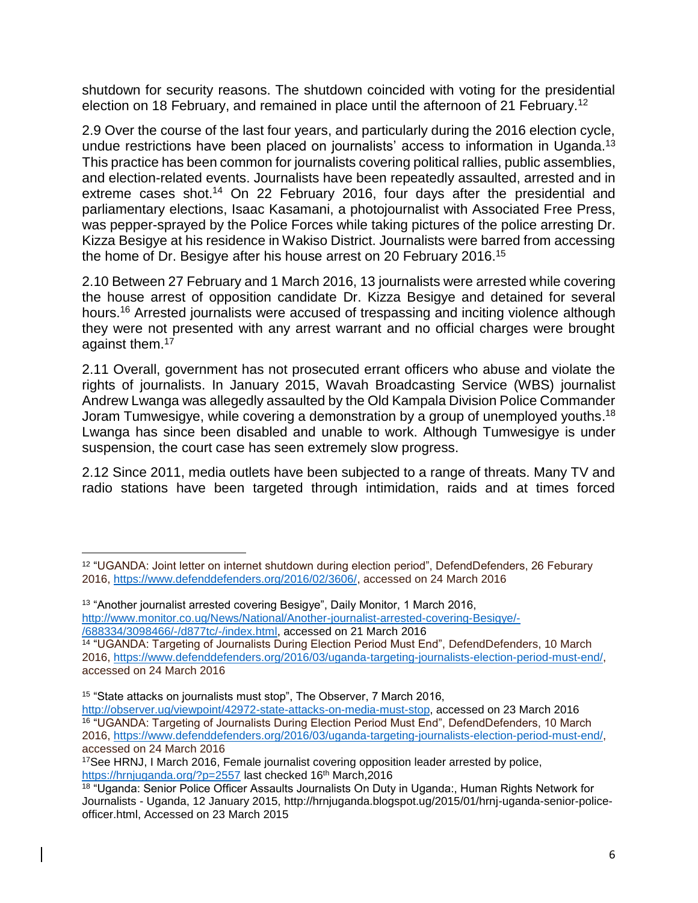shutdown for security reasons. The shutdown coincided with voting for the presidential election on 18 February, and remained in place until the afternoon of 21 February.<sup>12</sup>

2.9 Over the course of the last four years, and particularly during the 2016 election cycle, undue restrictions have been placed on journalists' access to information in Uganda.<sup>13</sup> This practice has been common for journalists covering political rallies, public assemblies, and election-related events. Journalists have been repeatedly assaulted, arrested and in extreme cases shot.<sup>14</sup> On 22 February 2016, four days after the presidential and parliamentary elections, Isaac Kasamani, a photojournalist with Associated Free Press, was pepper-sprayed by the Police Forces while taking pictures of the police arresting Dr. Kizza Besigye at his residence in Wakiso District. Journalists were barred from accessing the home of Dr. Besigye after his house arrest on 20 February 2016.<sup>15</sup>

2.10 Between 27 February and 1 March 2016, 13 journalists were arrested while covering the house arrest of opposition candidate Dr. Kizza Besigye and detained for several hours.<sup>16</sup> Arrested journalists were accused of trespassing and inciting violence although they were not presented with any arrest warrant and no official charges were brought against them.<sup>17</sup>

2.11 Overall, government has not prosecuted errant officers who abuse and violate the rights of journalists. In January 2015, Wavah Broadcasting Service (WBS) journalist Andrew Lwanga was allegedly assaulted by the Old Kampala Division Police Commander Joram Tumwesigye, while covering a demonstration by a group of unemployed youths.<sup>18</sup> Lwanga has since been disabled and unable to work. Although Tumwesigye is under suspension, the court case has seen extremely slow progress.

2.12 Since 2011, media outlets have been subjected to a range of threats. Many TV and radio stations have been targeted through intimidation, raids and at times forced

l <sup>12</sup> "UGANDA: Joint letter on internet shutdown during election period", DefendDefenders, 26 Feburary 2016, [https://www.defenddefenders.org/2016/02/3606/,](https://www.defenddefenders.org/2016/02/3606/) accessed on 24 March 2016

<sup>&</sup>lt;sup>13</sup> "Another journalist arrested covering Besigye", Daily Monitor, 1 March 2016, [http://www.monitor.co.ug/News/National/Another-journalist-arrested-covering-Besigye/-](http://www.monitor.co.ug/News/National/Another-journalist-arrested-covering-Besigye/-/688334/3098466/-/d877tc/-/index.html) [/688334/3098466/-/d877tc/-/index.html,](http://www.monitor.co.ug/News/National/Another-journalist-arrested-covering-Besigye/-/688334/3098466/-/d877tc/-/index.html) accessed on 21 March 2016 14 "UGANDA: Targeting of Journalists During Election Period Must End", DefendDefenders, 10 March

<sup>2016,</sup> [https://www.defenddefenders.org/2016/03/uganda-targeting-journalists-election-period-must-end/,](https://www.defenddefenders.org/2016/03/uganda-targeting-journalists-election-period-must-end/) accessed on 24 March 2016

<sup>15</sup> "State attacks on journalists must stop", The Observer, 7 March 2016,

[http://observer.ug/viewpoint/42972-state-attacks-on-media-must-stop,](http://observer.ug/viewpoint/42972-state-attacks-on-media-must-stop) accessed on 23 March 2016 <sup>16</sup> "UGANDA: Targeting of Journalists During Election Period Must End", DefendDefenders, 10 March 2016, [https://www.defenddefenders.org/2016/03/uganda-targeting-journalists-election-period-must-end/,](https://www.defenddefenders.org/2016/03/uganda-targeting-journalists-election-period-must-end/) accessed on 24 March 2016

<sup>17</sup>See HRNJ, I March 2016, Female journalist covering opposition leader arrested by police, <https://hrnjuganda.org/?p=2557> last checked 16<sup>th</sup> March,2016

<sup>18 &</sup>quot;Uganda: Senior Police Officer Assaults Journalists On Duty in Uganda:, Human Rights Network for Journalists - Uganda, 12 January 2015, http://hrnjuganda.blogspot.ug/2015/01/hrnj-uganda-senior-policeofficer.html, Accessed on 23 March 2015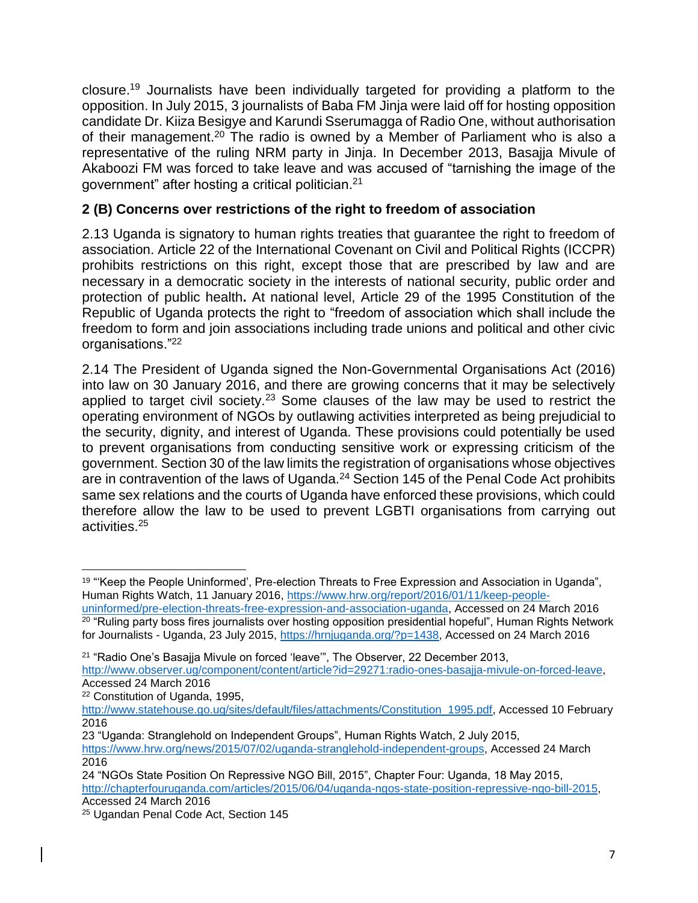closure. <sup>19</sup> Journalists have been individually targeted for providing a platform to the opposition. In July 2015, 3 journalists of Baba FM Jinja were laid off for hosting opposition candidate Dr. Kiiza Besigye and Karundi Sserumagga of Radio One, without authorisation of their management.<sup>20</sup> The radio is owned by a Member of Parliament who is also a representative of the ruling NRM party in Jinja. In December 2013, Basajja Mivule of Akaboozi FM was forced to take leave and was accused of "tarnishing the image of the government" after hosting a critical politician.<sup>21</sup>

### **2 (B) Concerns over restrictions of the right to freedom of association**

2.13 Uganda is signatory to human rights treaties that guarantee the right to freedom of association. Article 22 of the International Covenant on Civil and Political Rights (ICCPR) prohibits restrictions on this right, except those that are prescribed by law and are necessary in a democratic society in the interests of national security, public order and protection of public health**.** At national level, Article 29 of the 1995 Constitution of the Republic of Uganda protects the right to "freedom of association which shall include the freedom to form and join associations including trade unions and political and other civic organisations."<sup>22</sup>

2.14 The President of Uganda signed the Non-Governmental Organisations Act (2016) into law on 30 January 2016, and there are growing concerns that it may be selectively applied to target civil society.<sup>23</sup> Some clauses of the law may be used to restrict the operating environment of NGOs by outlawing activities interpreted as being prejudicial to the security, dignity, and interest of Uganda. These provisions could potentially be used to prevent organisations from conducting sensitive work or expressing criticism of the government. Section 30 of the law limits the registration of organisations whose objectives are in contravention of the laws of Uganda.<sup>24</sup> Section 145 of the Penal Code Act prohibits same sex relations and the courts of Uganda have enforced these provisions, which could therefore allow the law to be used to prevent LGBTI organisations from carrying out activities.<sup>25</sup>

<sup>21</sup> "Radio One's Basajja Mivule on forced 'leave"', The Observer, 22 December 2013, [http://www.observer.ug/component/content/article?id=29271:radio-ones-basajja-mivule-on-forced-leave,](http://www.observer.ug/component/content/article?id=29271:radio-ones-basajja-mivule-on-forced-leave) Accessed 24 March 2016

<sup>22</sup> Constitution of Uganda, 1995,

2016

Accessed 24 March 2016

 $\overline{a}$ <sup>19</sup> "'Keep the People Uninformed', Pre-election Threats to Free Expression and Association in Uganda", Human Rights Watch, 11 January 2016, [https://www.hrw.org/report/2016/01/11/keep-people](https://www.hrw.org/report/2016/01/11/keep-people-uninformed/pre-election-threats-free-expression-and-association-uganda)[uninformed/pre-election-threats-free-expression-and-association-uganda,](https://www.hrw.org/report/2016/01/11/keep-people-uninformed/pre-election-threats-free-expression-and-association-uganda) Accessed on 24 March 2016

 $20$  "Ruling party boss fires journalists over hosting opposition presidential hopeful", Human Rights Network for Journalists - Uganda, 23 July 2015, [https://hrnjuganda.org/?p=1438,](https://hrnjuganda.org/?p=1438) Accessed on 24 March 2016

[http://www.statehouse.go.ug/sites/default/files/attachments/Constitution\\_1995.pdf,](http://www.statehouse.go.ug/sites/default/files/attachments/Constitution_1995.pdf) Accessed 10 February 2016

<sup>23</sup> "Uganda: Stranglehold on Independent Groups", Human Rights Watch, 2 July 2015, [https://www.hrw.org/news/2015/07/02/uganda-stranglehold-independent-groups,](https://www.hrw.org/news/2015/07/02/uganda-stranglehold-independent-groups) Accessed 24 March

<sup>24</sup> "NGOs State Position On Repressive NGO Bill, 2015", Chapter Four: Uganda, 18 May 2015, [http://chapterfouruganda.com/articles/2015/06/04/uganda-ngos-state-position-repressive-ngo-bill-2015,](http://chapterfouruganda.com/articles/2015/06/04/uganda-ngos-state-position-repressive-ngo-bill-2015)

<sup>25</sup> Ugandan Penal Code Act, Section 145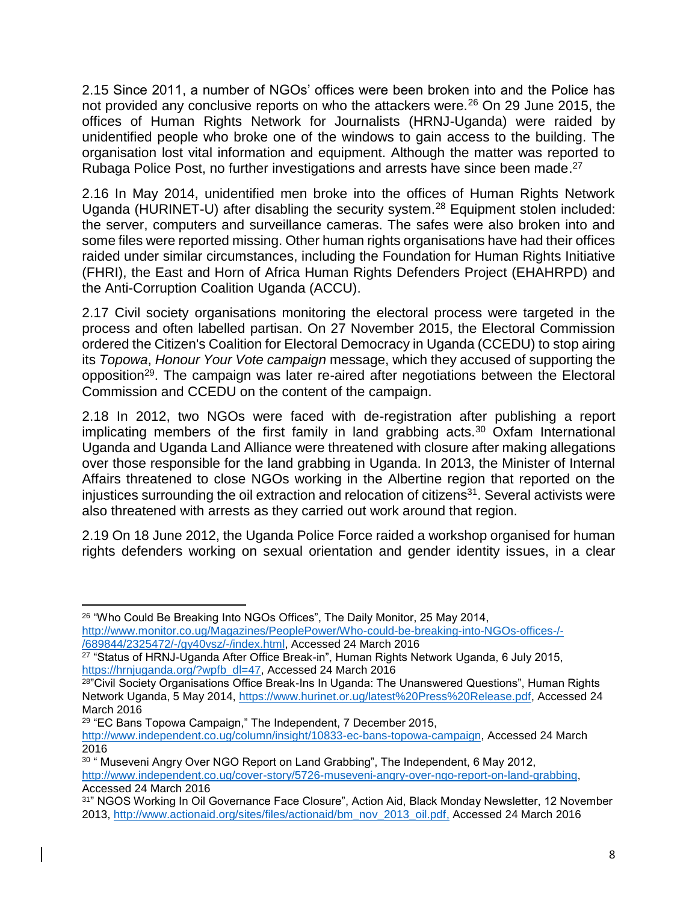2.15 Since 2011, a number of NGOs' offices were been broken into and the Police has not provided any conclusive reports on who the attackers were.<sup>26</sup> On 29 June 2015, the offices of Human Rights Network for Journalists (HRNJ-Uganda) were raided by unidentified people who broke one of the windows to gain access to the building. The organisation lost vital information and equipment. Although the matter was reported to Rubaga Police Post, no further investigations and arrests have since been made.<sup>27</sup>

2.16 In May 2014, unidentified men broke into the offices of Human Rights Network Uganda (HURINET-U) after disabling the security system.<sup>28</sup> Equipment stolen included: the server, computers and surveillance cameras. The safes were also broken into and some files were reported missing. Other human rights organisations have had their offices raided under similar circumstances, including the Foundation for Human Rights Initiative (FHRI), the East and Horn of Africa Human Rights Defenders Project (EHAHRPD) and the Anti-Corruption Coalition Uganda (ACCU).

2.17 Civil society organisations monitoring the electoral process were targeted in the process and often labelled partisan. On 27 November 2015, the Electoral Commission ordered the Citizen's Coalition for Electoral Democracy in Uganda (CCEDU) to stop airing its *Topowa*, *Honour Your Vote campaign* message, which they accused of supporting the opposition<sup>29</sup>. The campaign was later re-aired after negotiations between the Electoral Commission and CCEDU on the content of the campaign.

2.18 In 2012, two NGOs were faced with de-registration after publishing a report implicating members of the first family in land grabbing  $acts<sup>30</sup>$  Oxfam International Uganda and Uganda Land Alliance were threatened with closure after making allegations over those responsible for the land grabbing in Uganda. In 2013, the Minister of Internal Affairs threatened to close NGOs working in the Albertine region that reported on the injustices surrounding the oil extraction and relocation of citizens<sup>31</sup>. Several activists were also threatened with arrests as they carried out work around that region.

2.19 On 18 June 2012, the Uganda Police Force raided a workshop organised for human rights defenders working on sexual orientation and gender identity issues, in a clear

 $\overline{\phantom{a}}$ <sup>26</sup> "Who Could Be Breaking Into NGOs Offices", The Daily Monitor, 25 May 2014, [http://www.monitor.co.ug/Magazines/PeoplePower/Who-could-be-breaking-into-NGOs-offices-/-](http://www.monitor.co.ug/Magazines/PeoplePower/Who-could-be-breaking-into-NGOs-offices-/-/689844/2325472/-/gy40vsz/-/index.html) [/689844/2325472/-/gy40vsz/-/index.html,](http://www.monitor.co.ug/Magazines/PeoplePower/Who-could-be-breaking-into-NGOs-offices-/-/689844/2325472/-/gy40vsz/-/index.html) Accessed 24 March 2016

 $^{27}$  "Status of HRNJ-Uganda After Office Break-in", Human Rights Network Uganda, 6 July 2015, [https://hrnjuganda.org/?wpfb\\_dl=47,](https://hrnjuganda.org/?wpfb_dl=47) Accessed 24 March 2016

<sup>28&</sup>quot;Civil Society Organisations Office Break-Ins In Uganda: The Unanswered Questions", Human Rights Network Uganda, 5 May 2014, [https://www.hurinet.or.ug/latest%20Press%20Release.pdf,](https://www.hurinet.or.ug/latest%20Press%20Release.pdf) Accessed 24 March 2016

<sup>29</sup> "EC Bans Topowa Campaign," The Independent, 7 December 2015,

[http://www.independent.co.ug/column/insight/10833-ec-bans-topowa-campaign,](http://www.independent.co.ug/column/insight/10833-ec-bans-topowa-campaign) Accessed 24 March 2016

<sup>30</sup> " Museveni Angry Over NGO Report on Land Grabbing", The Independent, 6 May 2012, [http://www.independent.co.ug/cover-story/5726-museveni-angry-over-ngo-report-on-land-grabbing,](http://www.independent.co.ug/cover-story/5726-museveni-angry-over-ngo-report-on-land-grabbing) Accessed 24 March 2016

<sup>31</sup>" NGOS Working In Oil Governance Face Closure", Action Aid, Black Monday Newsletter, 12 November 2013, [http://www.actionaid.org/sites/files/actionaid/bm\\_nov\\_2013\\_oil.pdf,](http://www.actionaid.org/sites/files/actionaid/bm_nov_2013_oil.pdf) Accessed 24 March 2016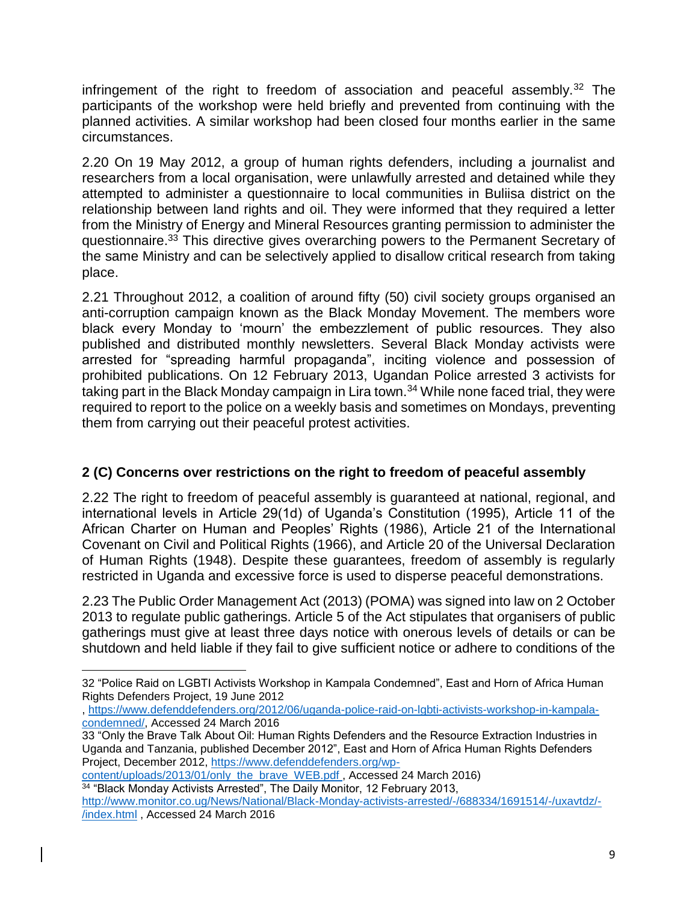infringement of the right to freedom of association and peaceful assembly.<sup>32</sup> The participants of the workshop were held briefly and prevented from continuing with the planned activities. A similar workshop had been closed four months earlier in the same circumstances.

2.20 On 19 May 2012, a group of human rights defenders, including a journalist and researchers from a local organisation, were unlawfully arrested and detained while they attempted to administer a questionnaire to local communities in Buliisa district on the relationship between land rights and oil. They were informed that they required a letter from the Ministry of Energy and Mineral Resources granting permission to administer the questionnaire.<sup>33</sup> This directive gives overarching powers to the Permanent Secretary of the same Ministry and can be selectively applied to disallow critical research from taking place.

2.21 Throughout 2012, a coalition of around fifty (50) civil society groups organised an anti-corruption campaign known as the Black Monday Movement. The members wore black every Monday to 'mourn' the embezzlement of public resources. They also published and distributed monthly newsletters. Several Black Monday activists were arrested for "spreading harmful propaganda", inciting violence and possession of prohibited publications. On 12 February 2013, Ugandan Police arrested 3 activists for taking part in the Black Monday campaign in Lira town.<sup>34</sup> While none faced trial, they were required to report to the police on a weekly basis and sometimes on Mondays, preventing them from carrying out their peaceful protest activities.

### **2 (C) Concerns over restrictions on the right to freedom of peaceful assembly**

2.22 The right to freedom of peaceful assembly is guaranteed at national, regional, and international levels in Article 29(1d) of Uganda's Constitution (1995), Article 11 of the African Charter on Human and Peoples' Rights (1986), Article 21 of the International Covenant on Civil and Political Rights (1966), and Article 20 of the Universal Declaration of Human Rights (1948). Despite these guarantees, freedom of assembly is regularly restricted in Uganda and excessive force is used to disperse peaceful demonstrations.

2.23 The Public Order Management Act (2013) (POMA) was signed into law on 2 October 2013 to regulate public gatherings. Article 5 of the Act stipulates that organisers of public gatherings must give at least three days notice with onerous levels of details or can be shutdown and held liable if they fail to give sufficient notice or adhere to conditions of the

, [https://www.defenddefenders.org/2012/06/uganda-police-raid-on-lgbti-activists-workshop-in-kampala](https://www.defenddefenders.org/2012/06/uganda-police-raid-on-lgbti-activists-workshop-in-kampala-condemned/)[condemned/,](https://www.defenddefenders.org/2012/06/uganda-police-raid-on-lgbti-activists-workshop-in-kampala-condemned/) Accessed 24 March 2016

33 "Only the Brave Talk About Oil: Human Rights Defenders and the Resource Extraction Industries in Uganda and Tanzania, published December 2012", East and Horn of Africa Human Rights Defenders Project, December 2012, [https://www.defenddefenders.org/wp-](https://www.defenddefenders.org/wp-content/uploads/2013/01/only_the_brave_WEB.pdf)

[content/uploads/2013/01/only\\_the\\_brave\\_WEB.pdf](https://www.defenddefenders.org/wp-content/uploads/2013/01/only_the_brave_WEB.pdf) , Accessed 24 March 2016) <sup>34</sup> "Black Monday Activists Arrested", The Daily Monitor, 12 February 2013,

 $\overline{\phantom{a}}$ 

<sup>32</sup> "Police Raid on LGBTI Activists Workshop in Kampala Condemned", East and Horn of Africa Human Rights Defenders Project, 19 June 2012

[http://www.monitor.co.ug/News/National/Black-Monday-activists-arrested/-/688334/1691514/-/uxavtdz/-](http://www.monitor.co.ug/News/National/Black-Monday-activists-arrested/-/688334/1691514/-/uxavtdz/-/index.html) [/index.html](http://www.monitor.co.ug/News/National/Black-Monday-activists-arrested/-/688334/1691514/-/uxavtdz/-/index.html) , Accessed 24 March 2016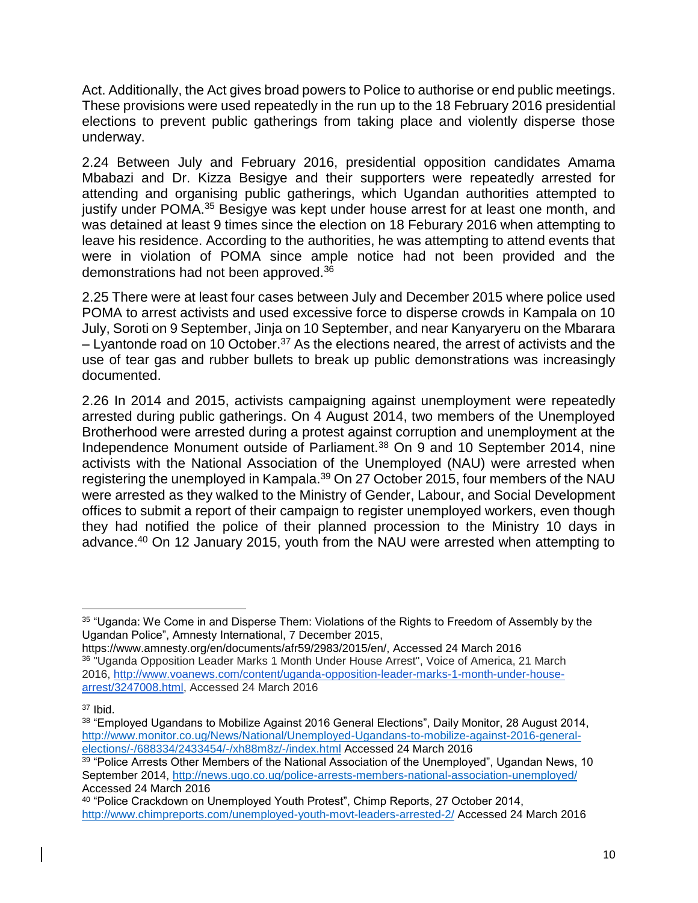Act. Additionally, the Act gives broad powers to Police to authorise or end public meetings. These provisions were used repeatedly in the run up to the 18 February 2016 presidential elections to prevent public gatherings from taking place and violently disperse those underway.

2.24 Between July and February 2016, presidential opposition candidates Amama Mbabazi and Dr. Kizza Besigye and their supporters were repeatedly arrested for attending and organising public gatherings, which Ugandan authorities attempted to justify under POMA.<sup>35</sup> Besigye was kept under house arrest for at least one month, and was detained at least 9 times since the election on 18 Feburary 2016 when attempting to leave his residence. According to the authorities, he was attempting to attend events that were in violation of POMA since ample notice had not been provided and the demonstrations had not been approved.<sup>36</sup>

2.25 There were at least four cases between July and December 2015 where police used POMA to arrest activists and used excessive force to disperse crowds in Kampala on 10 July, Soroti on 9 September, Jinja on 10 September, and near Kanyaryeru on the Mbarara  $-$  Lyantonde road on 10 October.<sup>37</sup> As the elections neared, the arrest of activists and the use of tear gas and rubber bullets to break up public demonstrations was increasingly documented.

2.26 In 2014 and 2015, activists campaigning against unemployment were repeatedly arrested during public gatherings. On 4 August 2014, two members of the Unemployed Brotherhood were arrested during a protest against corruption and unemployment at the Independence Monument outside of Parliament.<sup>38</sup> On 9 and 10 September 2014, nine activists with the National Association of the Unemployed (NAU) were arrested when registering the unemployed in Kampala.<sup>39</sup> On 27 October 2015, four members of the NAU were arrested as they walked to the Ministry of Gender, Labour, and Social Development offices to submit a report of their campaign to register unemployed workers, even though they had notified the police of their planned procession to the Ministry 10 days in advance. <sup>40</sup> On 12 January 2015, youth from the NAU were arrested when attempting to

 $\overline{\phantom{a}}$ <sup>35</sup> "Uganda: We Come in and Disperse Them: Violations of the Rights to Freedom of Assembly by the Ugandan Police", Amnesty International, 7 December 2015,

https://www.amnesty.org/en/documents/afr59/2983/2015/en/, Accessed 24 March 2016 <sup>36</sup> "Uganda Opposition Leader Marks 1 Month Under House Arrest", Voice of America, 21 March 2016, [http://www.voanews.com/content/uganda-opposition-leader-marks-1-month-under-house](http://www.voanews.com/content/uganda-opposition-leader-marks-1-month-under-house-arrest/3247008.html)[arrest/3247008.html,](http://www.voanews.com/content/uganda-opposition-leader-marks-1-month-under-house-arrest/3247008.html) Accessed 24 March 2016

<sup>37</sup> Ibid.

<sup>38</sup> "Employed Ugandans to Mobilize Against 2016 General Elections", Daily Monitor, 28 August 2014, [http://www.monitor.co.ug/News/National/Unemployed-Ugandans-to-mobilize-against-2016-general](http://www.monitor.co.ug/News/National/Unemployed-Ugandans-to-mobilize-against-2016-general-elections/-/688334/2433454/-/xh88m8z/-/index.html)[elections/-/688334/2433454/-/xh88m8z/-/index.html](http://www.monitor.co.ug/News/National/Unemployed-Ugandans-to-mobilize-against-2016-general-elections/-/688334/2433454/-/xh88m8z/-/index.html) Accessed 24 March 2016

<sup>&</sup>lt;sup>39</sup> "Police Arrests Other Members of the National Association of the Unemployed". Ugandan News, 10 September 2014,<http://news.ugo.co.ug/police-arrests-members-national-association-unemployed/> Accessed 24 March 2016

<sup>40</sup> "Police Crackdown on Unemployed Youth Protest", Chimp Reports, 27 October 2014, <http://www.chimpreports.com/unemployed-youth-movt-leaders-arrested-2/> Accessed 24 March 2016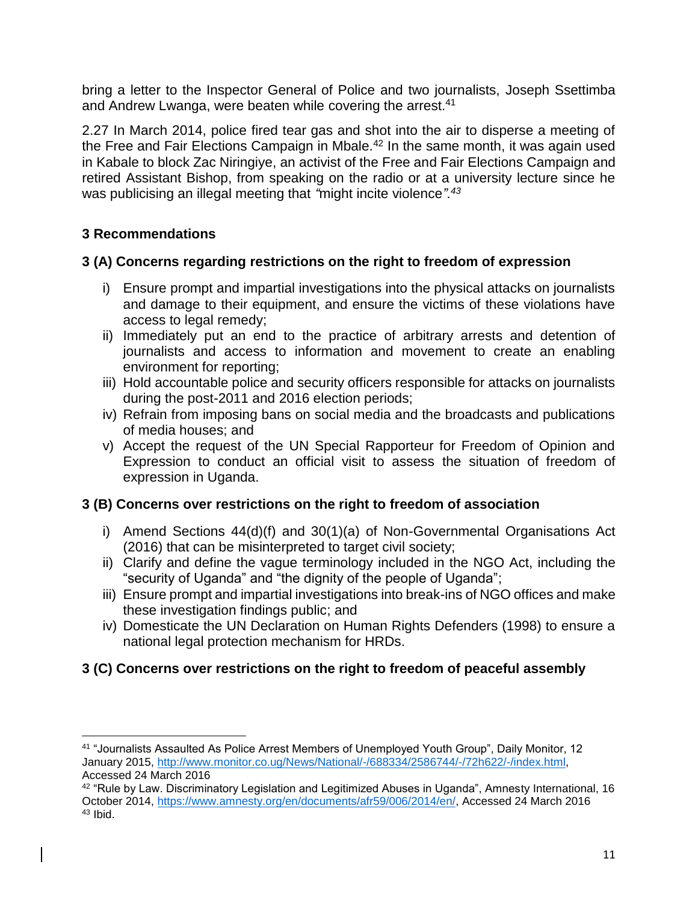bring a letter to the Inspector General of Police and two journalists, Joseph Ssettimba and Andrew Lwanga, were beaten while covering the arrest.<sup>41</sup>

2.27 In March 2014, police fired tear gas and shot into the air to disperse a meeting of the Free and Fair Elections Campaign in Mbale.<sup>42</sup> In the same month, it was again used in Kabale to block Zac Niringiye, an activist of the Free and Fair Elections Campaign and retired Assistant Bishop, from speaking on the radio or at a university lecture since he was publicising an illegal meeting that *"*might incite violence*".<sup>43</sup>*

### **3 Recommendations**

l

### **3 (A) Concerns regarding restrictions on the right to freedom of expression**

- i) Ensure prompt and impartial investigations into the physical attacks on journalists and damage to their equipment, and ensure the victims of these violations have access to legal remedy;
- ii) Immediately put an end to the practice of arbitrary arrests and detention of journalists and access to information and movement to create an enabling environment for reporting;
- iii) Hold accountable police and security officers responsible for attacks on journalists during the post-2011 and 2016 election periods;
- iv) Refrain from imposing bans on social media and the broadcasts and publications of media houses; and
- v) Accept the request of the UN Special Rapporteur for Freedom of Opinion and Expression to conduct an official visit to assess the situation of freedom of expression in Uganda.

### **3 (B) Concerns over restrictions on the right to freedom of association**

- i) Amend Sections 44(d)(f) and 30(1)(a) of Non-Governmental Organisations Act (2016) that can be misinterpreted to target civil society;
- ii) Clarify and define the vague terminology included in the NGO Act, including the "security of Uganda" and "the dignity of the people of Uganda";
- iii) Ensure prompt and impartial investigations into break-ins of NGO offices and make these investigation findings public; and
- iv) Domesticate the UN Declaration on Human Rights Defenders (1998) to ensure a national legal protection mechanism for HRDs.

# **3 (C) Concerns over restrictions on the right to freedom of peaceful assembly**

<sup>41</sup> "Journalists Assaulted As Police Arrest Members of Unemployed Youth Group", Daily Monitor, 12 January 2015, [http://www.monitor.co.ug/News/National/-/688334/2586744/-/72h622/-/index.html,](http://www.monitor.co.ug/News/National/-/688334/2586744/-/72h622/-/index.html) Accessed 24 March 2016

 $42$  "Rule by Law. Discriminatory Legislation and Legitimized Abuses in Uganda", Amnesty International, 16 October 2014, [https://www.amnesty.org/en/documents/afr59/006/2014/en/,](https://www.amnesty.org/en/documents/afr59/006/2014/en/) Accessed 24 March 2016  $43$  Ibid.